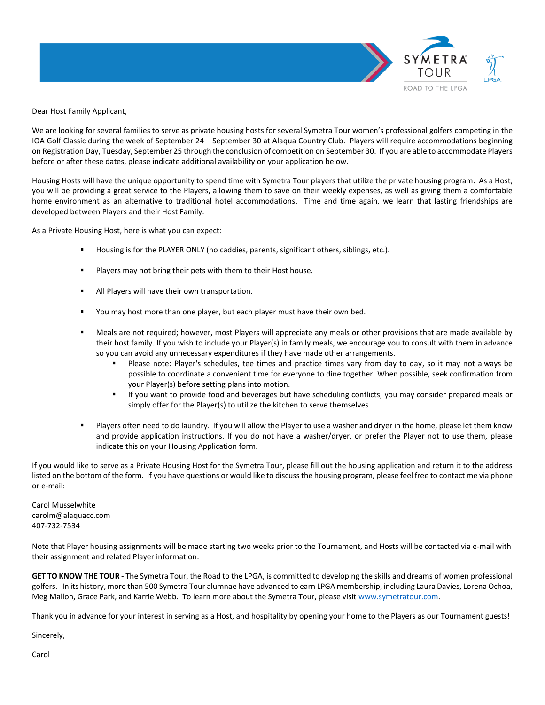

Dear Host Family Applicant,

We are looking for several families to serve as private housing hosts for several Symetra Tour women's professional golfers competing in the IOA Golf Classic during the week of September 24 – September 30 at Alaqua Country Club. Players will require accommodations beginning on Registration Day, Tuesday, September 25 through the conclusion of competition on September 30. If you are able to accommodate Players before or after these dates, please indicate additional availability on your application below.

Housing Hosts will have the unique opportunity to spend time with Symetra Tour players that utilize the private housing program. As a Host, you will be providing a great service to the Players, allowing them to save on their weekly expenses, as well as giving them a comfortable home environment as an alternative to traditional hotel accommodations. Time and time again, we learn that lasting friendships are developed between Players and their Host Family.

As a Private Housing Host, here is what you can expect:

- Housing is for the PLAYER ONLY (no caddies, parents, significant others, siblings, etc.).
- Players may not bring their pets with them to their Host house.
- All Players will have their own transportation.
- You may host more than one player, but each player must have their own bed.
- Meals are not required; however, most Players will appreciate any meals or other provisions that are made available by their host family. If you wish to include your Player(s) in family meals, we encourage you to consult with them in advance so you can avoid any unnecessary expenditures if they have made other arrangements.
	- Please note: Player's schedules, tee times and practice times vary from day to day, so it may not always be possible to coordinate a convenient time for everyone to dine together. When possible, seek confirmation from your Player(s) before setting plans into motion.
	- If you want to provide food and beverages but have scheduling conflicts, you may consider prepared meals or simply offer for the Player(s) to utilize the kitchen to serve themselves.
- Players often need to do laundry. If you will allow the Player to use a washer and dryer in the home, please let them know and provide application instructions. If you do not have a washer/dryer, or prefer the Player not to use them, please indicate this on your Housing Application form.

If you would like to serve as a Private Housing Host for the Symetra Tour, please fill out the housing application and return it to the address listed on the bottom of the form. If you have questions or would like to discuss the housing program, please feel free to contact me via phone or e-mail:

Carol Musselwhite carolm@alaquacc.com 407-732-7534

Note that Player housing assignments will be made starting two weeks prior to the Tournament, and Hosts will be contacted via e-mail with their assignment and related Player information.

**GET TO KNOW THE TOUR** - The Symetra Tour, the Road to the LPGA, is committed to developing the skills and dreams of women professional golfers. In its history, more than 500 Symetra Tour alumnae have advanced to earn LPGA membership, including Laura Davies, Lorena Ochoa, Meg Mallon, Grace Park, and Karrie Webb. To learn more about the Symetra Tour, please visit [www.symetratour.com.](http://www.symetratour.com/) 

Thank you in advance for your interest in serving as a Host, and hospitality by opening your home to the Players as our Tournament guests!

Sincerely,

Carol